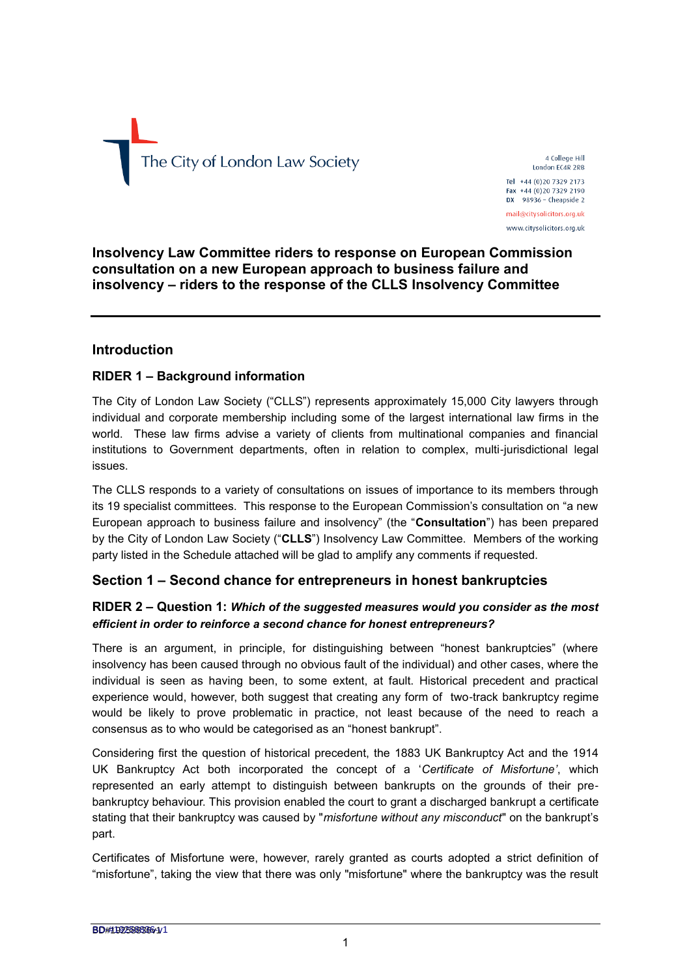# The City of London Law Society

4 College Hill London EC4R 2RB Tel +44 (0) 20 7329 2173

Fax +44 (0)20 7329 2190<br>DX 98936 - Cheapside 2 mail@citvsolicitors.org.uk

www.citysolicitors.org.uk

## **Insolvency Law Committee riders to response on European Commission consultation on a new European approach to business failure and insolvency – riders to the response of the CLLS Insolvency Committee**

## **Introduction**

# **RIDER 1 – Background information**

The City of London Law Society ("CLLS") represents approximately 15,000 City lawyers through individual and corporate membership including some of the largest international law firms in the world. These law firms advise a variety of clients from multinational companies and financial institutions to Government departments, often in relation to complex, multi-jurisdictional legal issues.

The CLLS responds to a variety of consultations on issues of importance to its members through its 19 specialist committees. This response to the European Commission's consultation on "a new European approach to business failure and insolvency" (the "**Consultation**") has been prepared by the City of London Law Society ("**CLLS**") Insolvency Law Committee. Members of the working party listed in the Schedule attached will be glad to amplify any comments if requested.

# **Section 1 – Second chance for entrepreneurs in honest bankruptcies**

## **RIDER 2 – Question 1:** *Which of the suggested measures would you consider as the most efficient in order to reinforce a second chance for honest entrepreneurs?*

There is an argument, in principle, for distinguishing between "honest bankruptcies" (where insolvency has been caused through no obvious fault of the individual) and other cases, where the individual is seen as having been, to some extent, at fault. Historical precedent and practical experience would, however, both suggest that creating any form of two-track bankruptcy regime would be likely to prove problematic in practice, not least because of the need to reach a consensus as to who would be categorised as an "honest bankrupt".

Considering first the question of historical precedent, the 1883 UK Bankruptcy Act and the 1914 UK Bankruptcy Act both incorporated the concept of a '*Certificate of Misfortune'*, which represented an early attempt to distinguish between bankrupts on the grounds of their prebankruptcy behaviour. This provision enabled the court to grant a discharged bankrupt a certificate stating that their bankruptcy was caused by "*misfortune without any misconduct*" on the bankrupt's part.

Certificates of Misfortune were, however, rarely granted as courts adopted a strict definition of "misfortune", taking the view that there was only "misfortune" where the bankruptcy was the result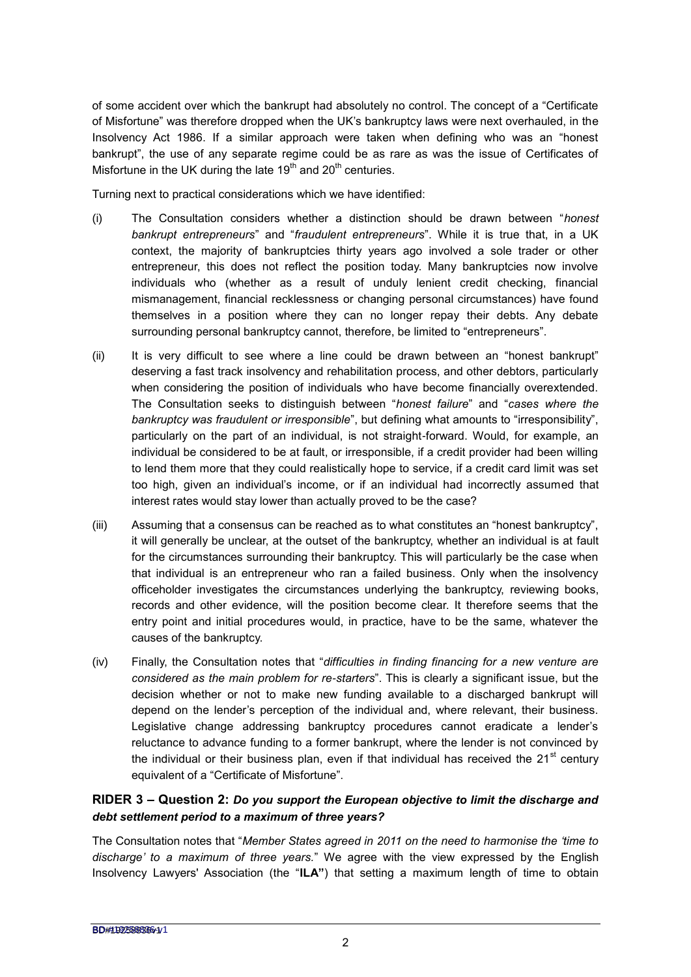of some accident over which the bankrupt had absolutely no control. The concept of a "Certificate of Misfortune" was therefore dropped when the UK's bankruptcy laws were next overhauled, in the Insolvency Act 1986. If a similar approach were taken when defining who was an "honest bankrupt", the use of any separate regime could be as rare as was the issue of Certificates of Misfortune in the UK during the late  $19<sup>th</sup>$  and  $20<sup>th</sup>$  centuries.

Turning next to practical considerations which we have identified:

- (i) The Consultation considers whether a distinction should be drawn between "*honest bankrupt entrepreneurs*" and "*fraudulent entrepreneurs*". While it is true that, in a UK context, the majority of bankruptcies thirty years ago involved a sole trader or other entrepreneur, this does not reflect the position today. Many bankruptcies now involve individuals who (whether as a result of unduly lenient credit checking, financial mismanagement, financial recklessness or changing personal circumstances) have found themselves in a position where they can no longer repay their debts. Any debate surrounding personal bankruptcy cannot, therefore, be limited to "entrepreneurs".
- (ii) It is very difficult to see where a line could be drawn between an "honest bankrupt" deserving a fast track insolvency and rehabilitation process, and other debtors, particularly when considering the position of individuals who have become financially overextended. The Consultation seeks to distinguish between "*honest failure*" and "*cases where the bankruptcy was fraudulent or irresponsible*", but defining what amounts to "irresponsibility", particularly on the part of an individual, is not straight-forward. Would, for example, an individual be considered to be at fault, or irresponsible, if a credit provider had been willing to lend them more that they could realistically hope to service, if a credit card limit was set too high, given an individual's income, or if an individual had incorrectly assumed that interest rates would stay lower than actually proved to be the case?
- (iii) Assuming that a consensus can be reached as to what constitutes an "honest bankruptcy", it will generally be unclear, at the outset of the bankruptcy, whether an individual is at fault for the circumstances surrounding their bankruptcy. This will particularly be the case when that individual is an entrepreneur who ran a failed business. Only when the insolvency officeholder investigates the circumstances underlying the bankruptcy, reviewing books, records and other evidence, will the position become clear. It therefore seems that the entry point and initial procedures would, in practice, have to be the same, whatever the causes of the bankruptcy.
- (iv) Finally, the Consultation notes that "*difficulties in finding financing for a new venture are considered as the main problem for re-starters*". This is clearly a significant issue, but the decision whether or not to make new funding available to a discharged bankrupt will depend on the lender's perception of the individual and, where relevant, their business. Legislative change addressing bankruptcy procedures cannot eradicate a lender's reluctance to advance funding to a former bankrupt, where the lender is not convinced by the individual or their business plan, even if that individual has received the  $21<sup>st</sup>$  centurv equivalent of a "Certificate of Misfortune".

## **RIDER 3 – Question 2:** *Do you support the European objective to limit the discharge and debt settlement period to a maximum of three years?*

The Consultation notes that "*Member States agreed in 2011 on the need to harmonise the 'time to discharge' to a maximum of three years.*" We agree with the view expressed by the English Insolvency Lawyers' Association (the "**ILA"**) that setting a maximum length of time to obtain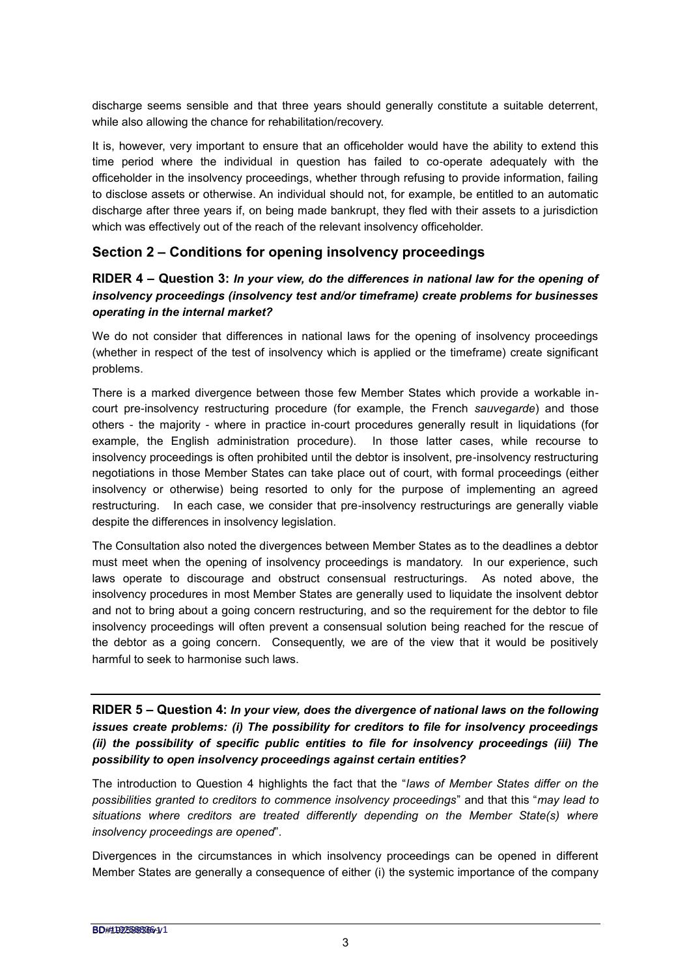discharge seems sensible and that three years should generally constitute a suitable deterrent, while also allowing the chance for rehabilitation/recovery.

It is, however, very important to ensure that an officeholder would have the ability to extend this time period where the individual in question has failed to co-operate adequately with the officeholder in the insolvency proceedings, whether through refusing to provide information, failing to disclose assets or otherwise. An individual should not, for example, be entitled to an automatic discharge after three years if, on being made bankrupt, they fled with their assets to a jurisdiction which was effectively out of the reach of the relevant insolvency officeholder.

# **Section 2 – Conditions for opening insolvency proceedings**

#### **RIDER 4 – Question 3:** *In your view, do the differences in national law for the opening of insolvency proceedings (insolvency test and/or timeframe) create problems for businesses operating in the internal market?*

We do not consider that differences in national laws for the opening of insolvency proceedings (whether in respect of the test of insolvency which is applied or the timeframe) create significant problems.

There is a marked divergence between those few Member States which provide a workable incourt pre-insolvency restructuring procedure (for example, the French *sauvegarde*) and those others - the majority - where in practice in-court procedures generally result in liquidations (for example, the English administration procedure). In those latter cases, while recourse to insolvency proceedings is often prohibited until the debtor is insolvent, pre-insolvency restructuring negotiations in those Member States can take place out of court, with formal proceedings (either insolvency or otherwise) being resorted to only for the purpose of implementing an agreed restructuring. In each case, we consider that pre-insolvency restructurings are generally viable despite the differences in insolvency legislation.

The Consultation also noted the divergences between Member States as to the deadlines a debtor must meet when the opening of insolvency proceedings is mandatory. In our experience, such laws operate to discourage and obstruct consensual restructurings. As noted above, the insolvency procedures in most Member States are generally used to liquidate the insolvent debtor and not to bring about a going concern restructuring, and so the requirement for the debtor to file insolvency proceedings will often prevent a consensual solution being reached for the rescue of the debtor as a going concern. Consequently, we are of the view that it would be positively harmful to seek to harmonise such laws.

**RIDER 5 – Question 4:** *In your view, does the divergence of national laws on the following issues create problems: (i) The possibility for creditors to file for insolvency proceedings (ii) the possibility of specific public entities to file for insolvency proceedings (iii) The possibility to open insolvency proceedings against certain entities?*

The introduction to Question 4 highlights the fact that the "*laws of Member States differ on the possibilities granted to creditors to commence insolvency proceedings*" and that this "*may lead to situations where creditors are treated differently depending on the Member State(s) where insolvency proceedings are opened*".

Divergences in the circumstances in which insolvency proceedings can be opened in different Member States are generally a consequence of either (i) the systemic importance of the company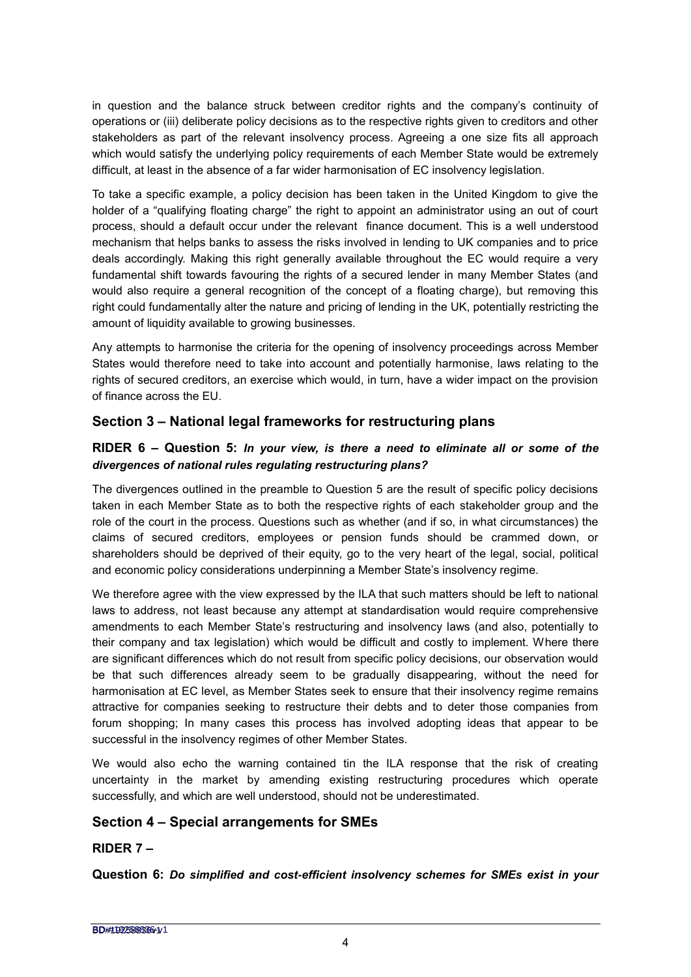in question and the balance struck between creditor rights and the company's continuity of operations or (iii) deliberate policy decisions as to the respective rights given to creditors and other stakeholders as part of the relevant insolvency process. Agreeing a one size fits all approach which would satisfy the underlying policy requirements of each Member State would be extremely difficult, at least in the absence of a far wider harmonisation of EC insolvency legislation.

To take a specific example, a policy decision has been taken in the United Kingdom to give the holder of a "qualifying floating charge" the right to appoint an administrator using an out of court process, should a default occur under the relevant finance document. This is a well understood mechanism that helps banks to assess the risks involved in lending to UK companies and to price deals accordingly. Making this right generally available throughout the EC would require a very fundamental shift towards favouring the rights of a secured lender in many Member States (and would also require a general recognition of the concept of a floating charge), but removing this right could fundamentally alter the nature and pricing of lending in the UK, potentially restricting the amount of liquidity available to growing businesses.

Any attempts to harmonise the criteria for the opening of insolvency proceedings across Member States would therefore need to take into account and potentially harmonise, laws relating to the rights of secured creditors, an exercise which would, in turn, have a wider impact on the provision of finance across the EU.

# **Section 3 – National legal frameworks for restructuring plans**

## **RIDER 6 – Question 5:** *In your view, is there a need to eliminate all or some of the divergences of national rules regulating restructuring plans?*

The divergences outlined in the preamble to Question 5 are the result of specific policy decisions taken in each Member State as to both the respective rights of each stakeholder group and the role of the court in the process. Questions such as whether (and if so, in what circumstances) the claims of secured creditors, employees or pension funds should be crammed down, or shareholders should be deprived of their equity, go to the very heart of the legal, social, political and economic policy considerations underpinning a Member State's insolvency regime.

We therefore agree with the view expressed by the ILA that such matters should be left to national laws to address, not least because any attempt at standardisation would require comprehensive amendments to each Member State's restructuring and insolvency laws (and also, potentially to their company and tax legislation) which would be difficult and costly to implement. Where there are significant differences which do not result from specific policy decisions, our observation would be that such differences already seem to be gradually disappearing, without the need for harmonisation at EC level, as Member States seek to ensure that their insolvency regime remains attractive for companies seeking to restructure their debts and to deter those companies from forum shopping; In many cases this process has involved adopting ideas that appear to be successful in the insolvency regimes of other Member States.

We would also echo the warning contained tin the ILA response that the risk of creating uncertainty in the market by amending existing restructuring procedures which operate successfully, and which are well understood, should not be underestimated.

## **Section 4 – Special arrangements for SMEs**

## **RIDER 7 –**

**Question 6:** *Do simplified and cost-efficient insolvency schemes for SMEs exist in your*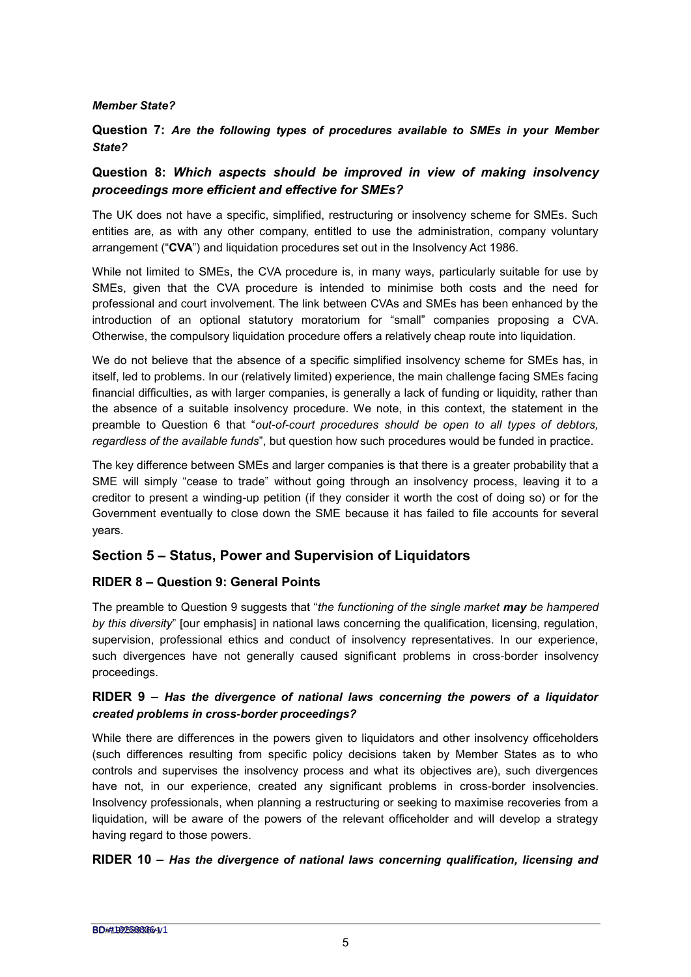#### *Member State?*

#### **Question 7:** *Are the following types of procedures available to SMEs in your Member State?*

## **Question 8:** *Which aspects should be improved in view of making insolvency proceedings more efficient and effective for SMEs?*

The UK does not have a specific, simplified, restructuring or insolvency scheme for SMEs. Such entities are, as with any other company, entitled to use the administration, company voluntary arrangement ("**CVA**") and liquidation procedures set out in the Insolvency Act 1986.

While not limited to SMEs, the CVA procedure is, in many ways, particularly suitable for use by SMEs, given that the CVA procedure is intended to minimise both costs and the need for professional and court involvement. The link between CVAs and SMEs has been enhanced by the introduction of an optional statutory moratorium for "small" companies proposing a CVA. Otherwise, the compulsory liquidation procedure offers a relatively cheap route into liquidation.

We do not believe that the absence of a specific simplified insolvency scheme for SMEs has, in itself, led to problems. In our (relatively limited) experience, the main challenge facing SMEs facing financial difficulties, as with larger companies, is generally a lack of funding or liquidity, rather than the absence of a suitable insolvency procedure. We note, in this context, the statement in the preamble to Question 6 that "*out-of-court procedures should be open to all types of debtors, regardless of the available funds*", but question how such procedures would be funded in practice.

The key difference between SMEs and larger companies is that there is a greater probability that a SME will simply "cease to trade" without going through an insolvency process, leaving it to a creditor to present a winding-up petition (if they consider it worth the cost of doing so) or for the Government eventually to close down the SME because it has failed to file accounts for several years.

## **Section 5 – Status, Power and Supervision of Liquidators**

#### **RIDER 8 – Question 9: General Points**

The preamble to Question 9 suggests that "*the functioning of the single market may be hampered by this diversity*" [our emphasis] in national laws concerning the qualification, licensing, regulation, supervision, professional ethics and conduct of insolvency representatives. In our experience, such divergences have not generally caused significant problems in cross-border insolvency proceedings.

#### **RIDER 9 –** *Has the divergence of national laws concerning the powers of a liquidator created problems in cross-border proceedings?*

While there are differences in the powers given to liquidators and other insolvency officeholders (such differences resulting from specific policy decisions taken by Member States as to who controls and supervises the insolvency process and what its objectives are), such divergences have not, in our experience, created any significant problems in cross-border insolvencies. Insolvency professionals, when planning a restructuring or seeking to maximise recoveries from a liquidation, will be aware of the powers of the relevant officeholder and will develop a strategy having regard to those powers.

#### **RIDER 10 –** *Has the divergence of national laws concerning qualification, licensing and*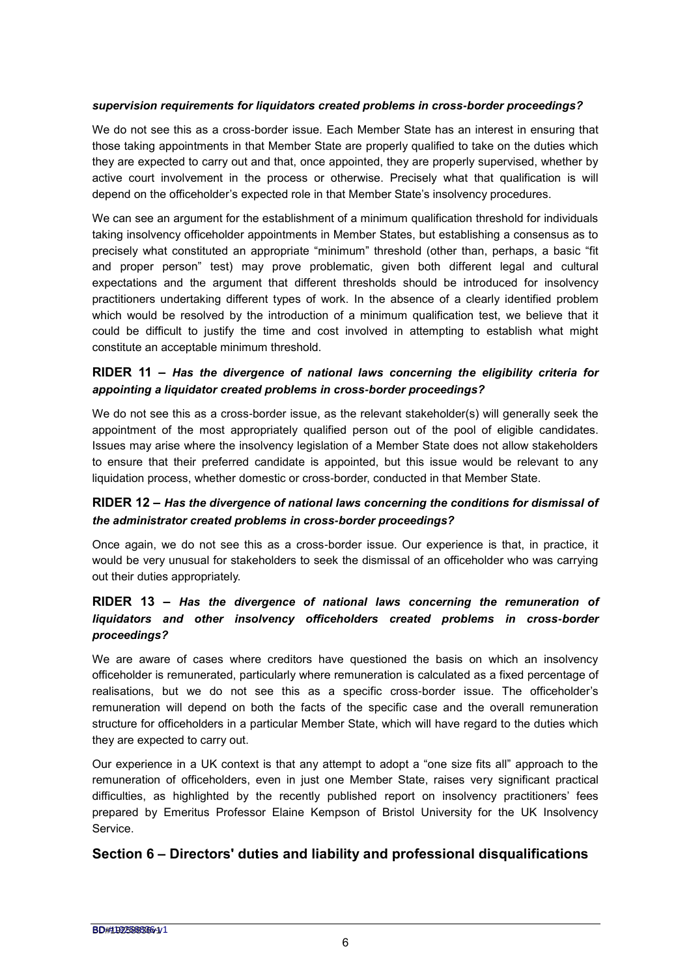#### *supervision requirements for liquidators created problems in cross-border proceedings?*

We do not see this as a cross-border issue. Each Member State has an interest in ensuring that those taking appointments in that Member State are properly qualified to take on the duties which they are expected to carry out and that, once appointed, they are properly supervised, whether by active court involvement in the process or otherwise. Precisely what that qualification is will depend on the officeholder's expected role in that Member State's insolvency procedures.

We can see an argument for the establishment of a minimum qualification threshold for individuals taking insolvency officeholder appointments in Member States, but establishing a consensus as to precisely what constituted an appropriate "minimum" threshold (other than, perhaps, a basic "fit and proper person" test) may prove problematic, given both different legal and cultural expectations and the argument that different thresholds should be introduced for insolvency practitioners undertaking different types of work. In the absence of a clearly identified problem which would be resolved by the introduction of a minimum qualification test, we believe that it could be difficult to justify the time and cost involved in attempting to establish what might constitute an acceptable minimum threshold.

#### **RIDER 11 –** *Has the divergence of national laws concerning the eligibility criteria for appointing a liquidator created problems in cross-border proceedings?*

We do not see this as a cross-border issue, as the relevant stakeholder(s) will generally seek the appointment of the most appropriately qualified person out of the pool of eligible candidates. Issues may arise where the insolvency legislation of a Member State does not allow stakeholders to ensure that their preferred candidate is appointed, but this issue would be relevant to any liquidation process, whether domestic or cross-border, conducted in that Member State.

## **RIDER 12 –** *Has the divergence of national laws concerning the conditions for dismissal of the administrator created problems in cross-border proceedings?*

Once again, we do not see this as a cross-border issue. Our experience is that, in practice, it would be very unusual for stakeholders to seek the dismissal of an officeholder who was carrying out their duties appropriately.

#### **RIDER 13 –** *Has the divergence of national laws concerning the remuneration of liquidators and other insolvency officeholders created problems in cross-border proceedings?*

We are aware of cases where creditors have questioned the basis on which an insolvency officeholder is remunerated, particularly where remuneration is calculated as a fixed percentage of realisations, but we do not see this as a specific cross-border issue. The officeholder's remuneration will depend on both the facts of the specific case and the overall remuneration structure for officeholders in a particular Member State, which will have regard to the duties which they are expected to carry out.

Our experience in a UK context is that any attempt to adopt a "one size fits all" approach to the remuneration of officeholders, even in just one Member State, raises very significant practical difficulties, as highlighted by the recently published report on insolvency practitioners' fees prepared by Emeritus Professor Elaine Kempson of Bristol University for the UK Insolvency Service.

## **Section 6 – Directors' duties and liability and professional disqualifications**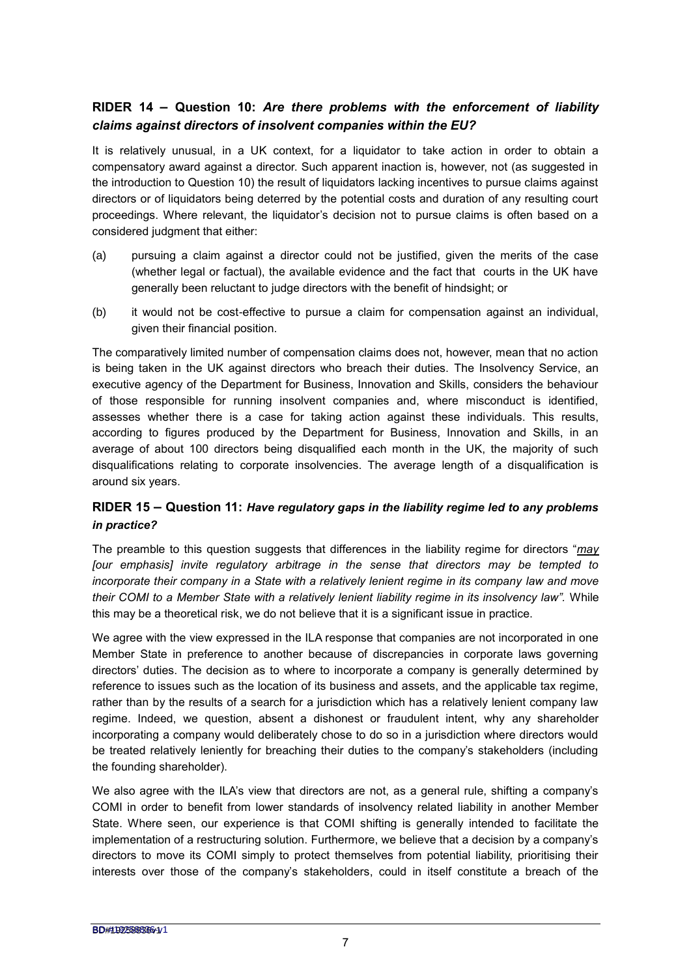## **RIDER 14 – Question 10:** *Are there problems with the enforcement of liability claims against directors of insolvent companies within the EU?*

It is relatively unusual, in a UK context, for a liquidator to take action in order to obtain a compensatory award against a director. Such apparent inaction is, however, not (as suggested in the introduction to Question 10) the result of liquidators lacking incentives to pursue claims against directors or of liquidators being deterred by the potential costs and duration of any resulting court proceedings. Where relevant, the liquidator's decision not to pursue claims is often based on a considered judgment that either:

- (a) pursuing a claim against a director could not be justified, given the merits of the case (whether legal or factual), the available evidence and the fact that courts in the UK have generally been reluctant to judge directors with the benefit of hindsight; or
- (b) it would not be cost-effective to pursue a claim for compensation against an individual, given their financial position.

The comparatively limited number of compensation claims does not, however, mean that no action is being taken in the UK against directors who breach their duties. The Insolvency Service, an executive agency of the Department for Business, Innovation and Skills, considers the behaviour of those responsible for running insolvent companies and, where misconduct is identified, assesses whether there is a case for taking action against these individuals. This results, according to figures produced by the Department for Business, Innovation and Skills, in an average of about 100 directors being disqualified each month in the UK, the majority of such disqualifications relating to corporate insolvencies. The average length of a disqualification is around six years.

## **RIDER 15 – Question 11:** *Have regulatory gaps in the liability regime led to any problems in practice?*

The preamble to this question suggests that differences in the liability regime for directors "*may [our emphasis] invite regulatory arbitrage in the sense that directors may be tempted to incorporate their company in a State with a relatively lenient regime in its company law and move their COMI to a Member State with a relatively lenient liability regime in its insolvency law".* While this may be a theoretical risk, we do not believe that it is a significant issue in practice.

We agree with the view expressed in the ILA response that companies are not incorporated in one Member State in preference to another because of discrepancies in corporate laws governing directors' duties. The decision as to where to incorporate a company is generally determined by reference to issues such as the location of its business and assets, and the applicable tax regime, rather than by the results of a search for a jurisdiction which has a relatively lenient company law regime. Indeed, we question, absent a dishonest or fraudulent intent, why any shareholder incorporating a company would deliberately chose to do so in a jurisdiction where directors would be treated relatively leniently for breaching their duties to the company's stakeholders (including the founding shareholder).

We also agree with the ILA's view that directors are not, as a general rule, shifting a company's COMI in order to benefit from lower standards of insolvency related liability in another Member State. Where seen, our experience is that COMI shifting is generally intended to facilitate the implementation of a restructuring solution. Furthermore, we believe that a decision by a company's directors to move its COMI simply to protect themselves from potential liability, prioritising their interests over those of the company's stakeholders, could in itself constitute a breach of the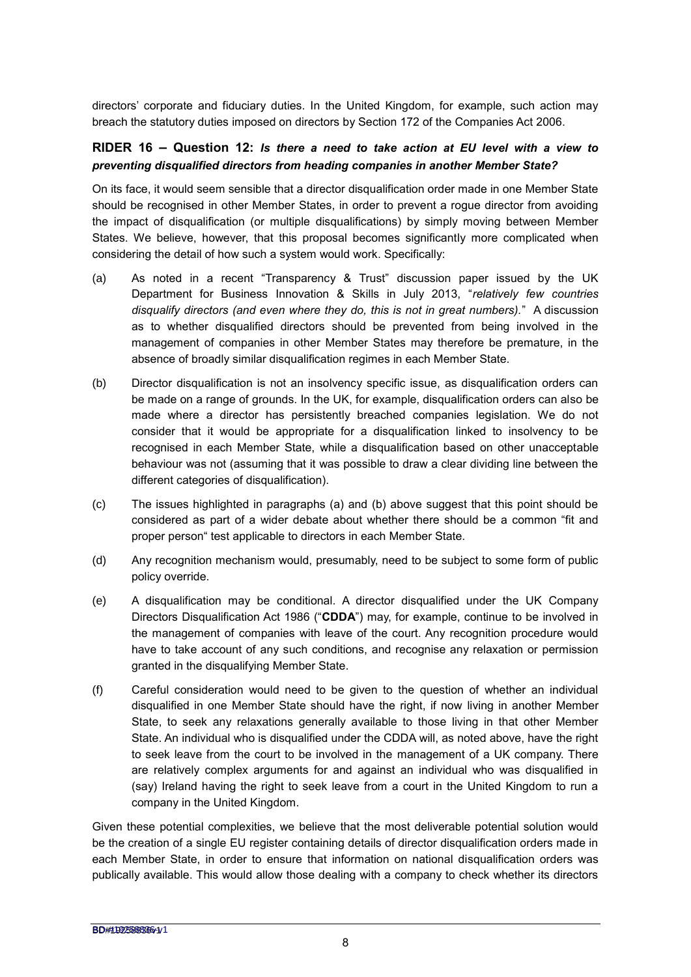directors' corporate and fiduciary duties. In the United Kingdom, for example, such action may breach the statutory duties imposed on directors by Section 172 of the Companies Act 2006.

#### **RIDER 16 – Question 12:** *Is there a need to take action at EU level with a view to preventing disqualified directors from heading companies in another Member State?*

On its face, it would seem sensible that a director disqualification order made in one Member State should be recognised in other Member States, in order to prevent a rogue director from avoiding the impact of disqualification (or multiple disqualifications) by simply moving between Member States. We believe, however, that this proposal becomes significantly more complicated when considering the detail of how such a system would work. Specifically:

- (a) As noted in a recent "Transparency & Trust" discussion paper issued by the UK Department for Business Innovation & Skills in July 2013, "*relatively few countries disqualify directors (and even where they do, this is not in great numbers).*" A discussion as to whether disqualified directors should be prevented from being involved in the management of companies in other Member States may therefore be premature, in the absence of broadly similar disqualification regimes in each Member State.
- (b) Director disqualification is not an insolvency specific issue, as disqualification orders can be made on a range of grounds. In the UK, for example, disqualification orders can also be made where a director has persistently breached companies legislation. We do not consider that it would be appropriate for a disqualification linked to insolvency to be recognised in each Member State, while a disqualification based on other unacceptable behaviour was not (assuming that it was possible to draw a clear dividing line between the different categories of disqualification).
- (c) The issues highlighted in paragraphs (a) and (b) above suggest that this point should be considered as part of a wider debate about whether there should be a common "fit and proper person" test applicable to directors in each Member State.
- (d) Any recognition mechanism would, presumably, need to be subject to some form of public policy override.
- (e) A disqualification may be conditional. A director disqualified under the UK Company Directors Disqualification Act 1986 ("**CDDA**") may, for example, continue to be involved in the management of companies with leave of the court. Any recognition procedure would have to take account of any such conditions, and recognise any relaxation or permission granted in the disqualifying Member State.
- (f) Careful consideration would need to be given to the question of whether an individual disqualified in one Member State should have the right, if now living in another Member State, to seek any relaxations generally available to those living in that other Member State. An individual who is disqualified under the CDDA will, as noted above, have the right to seek leave from the court to be involved in the management of a UK company. There are relatively complex arguments for and against an individual who was disqualified in (say) Ireland having the right to seek leave from a court in the United Kingdom to run a company in the United Kingdom.

Given these potential complexities, we believe that the most deliverable potential solution would be the creation of a single EU register containing details of director disqualification orders made in each Member State, in order to ensure that information on national disqualification orders was publically available. This would allow those dealing with a company to check whether its directors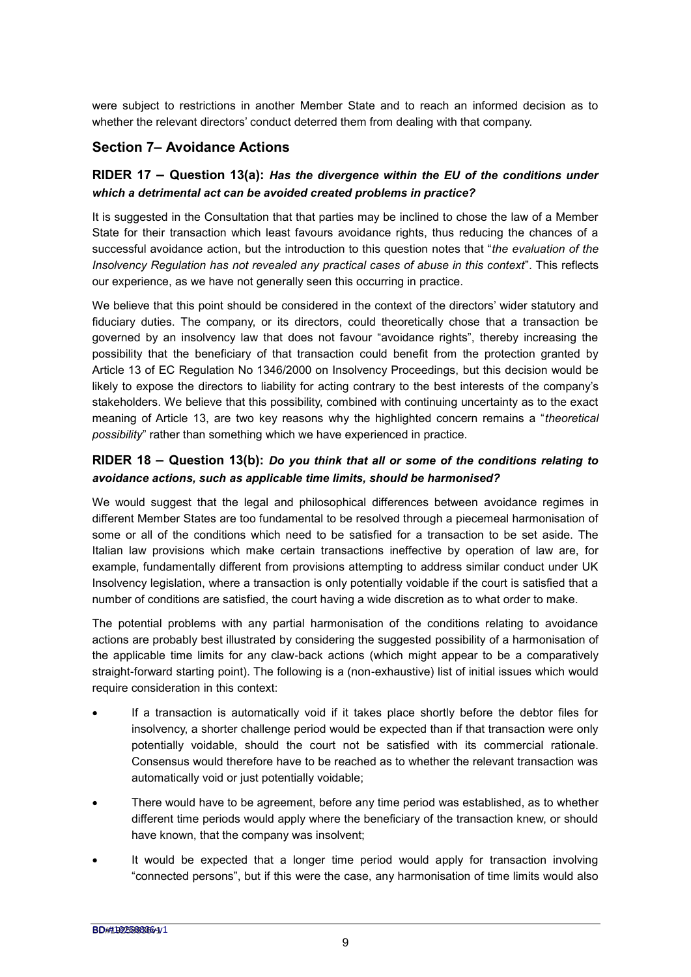were subject to restrictions in another Member State and to reach an informed decision as to whether the relevant directors' conduct deterred them from dealing with that company.

## **Section 7– Avoidance Actions**

## **RIDER 17 – Question 13(a):** *Has the divergence within the EU of the conditions under which a detrimental act can be avoided created problems in practice?*

It is suggested in the Consultation that that parties may be inclined to chose the law of a Member State for their transaction which least favours avoidance rights, thus reducing the chances of a successful avoidance action, but the introduction to this question notes that "*the evaluation of the Insolvency Regulation has not revealed any practical cases of abuse in this context*". This reflects our experience, as we have not generally seen this occurring in practice.

We believe that this point should be considered in the context of the directors' wider statutory and fiduciary duties. The company, or its directors, could theoretically chose that a transaction be governed by an insolvency law that does not favour "avoidance rights", thereby increasing the possibility that the beneficiary of that transaction could benefit from the protection granted by Article 13 of EC Regulation No 1346/2000 on Insolvency Proceedings, but this decision would be likely to expose the directors to liability for acting contrary to the best interests of the company's stakeholders. We believe that this possibility, combined with continuing uncertainty as to the exact meaning of Article 13, are two key reasons why the highlighted concern remains a "*theoretical possibility*" rather than something which we have experienced in practice.

## **RIDER 18 – Question 13(b):** *Do you think that all or some of the conditions relating to avoidance actions, such as applicable time limits, should be harmonised?*

We would suggest that the legal and philosophical differences between avoidance regimes in different Member States are too fundamental to be resolved through a piecemeal harmonisation of some or all of the conditions which need to be satisfied for a transaction to be set aside. The Italian law provisions which make certain transactions ineffective by operation of law are, for example, fundamentally different from provisions attempting to address similar conduct under UK Insolvency legislation, where a transaction is only potentially voidable if the court is satisfied that a number of conditions are satisfied, the court having a wide discretion as to what order to make.

The potential problems with any partial harmonisation of the conditions relating to avoidance actions are probably best illustrated by considering the suggested possibility of a harmonisation of the applicable time limits for any claw-back actions (which might appear to be a comparatively straight-forward starting point). The following is a (non-exhaustive) list of initial issues which would require consideration in this context:

- If a transaction is automatically void if it takes place shortly before the debtor files for insolvency, a shorter challenge period would be expected than if that transaction were only potentially voidable, should the court not be satisfied with its commercial rationale. Consensus would therefore have to be reached as to whether the relevant transaction was automatically void or just potentially voidable;
- There would have to be agreement, before any time period was established, as to whether different time periods would apply where the beneficiary of the transaction knew, or should have known, that the company was insolvent;
- It would be expected that a longer time period would apply for transaction involving "connected persons", but if this were the case, any harmonisation of time limits would also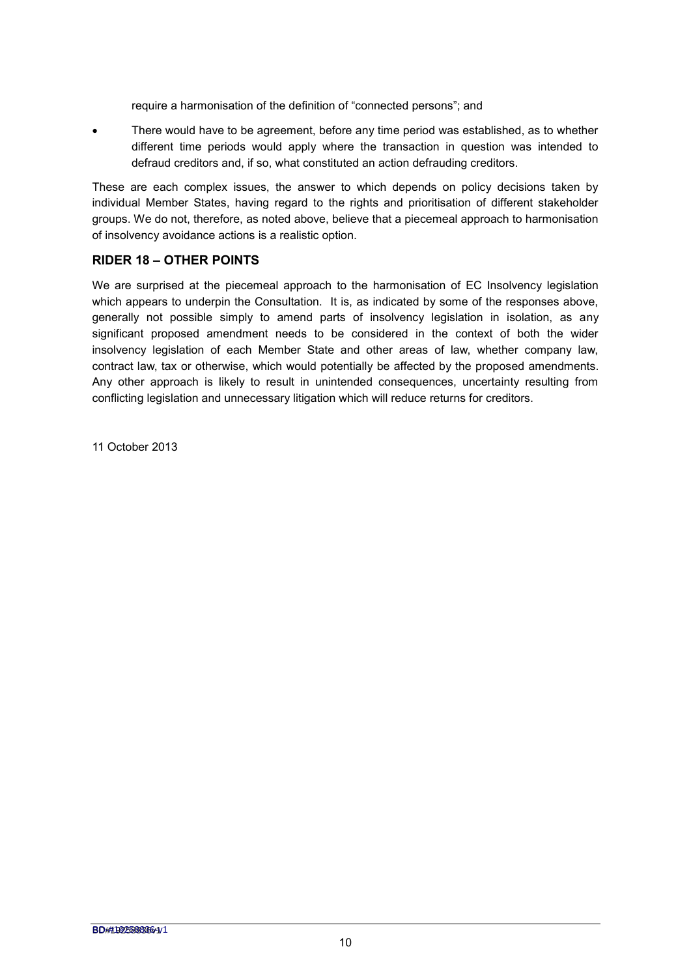require a harmonisation of the definition of "connected persons"; and

 There would have to be agreement, before any time period was established, as to whether different time periods would apply where the transaction in question was intended to defraud creditors and, if so, what constituted an action defrauding creditors.

These are each complex issues, the answer to which depends on policy decisions taken by individual Member States, having regard to the rights and prioritisation of different stakeholder groups. We do not, therefore, as noted above, believe that a piecemeal approach to harmonisation of insolvency avoidance actions is a realistic option.

#### **RIDER 18 – OTHER POINTS**

We are surprised at the piecemeal approach to the harmonisation of EC Insolvency legislation which appears to underpin the Consultation. It is, as indicated by some of the responses above, generally not possible simply to amend parts of insolvency legislation in isolation, as any significant proposed amendment needs to be considered in the context of both the wider insolvency legislation of each Member State and other areas of law, whether company law, contract law, tax or otherwise, which would potentially be affected by the proposed amendments. Any other approach is likely to result in unintended consequences, uncertainty resulting from conflicting legislation and unnecessary litigation which will reduce returns for creditors.

11 October 2013